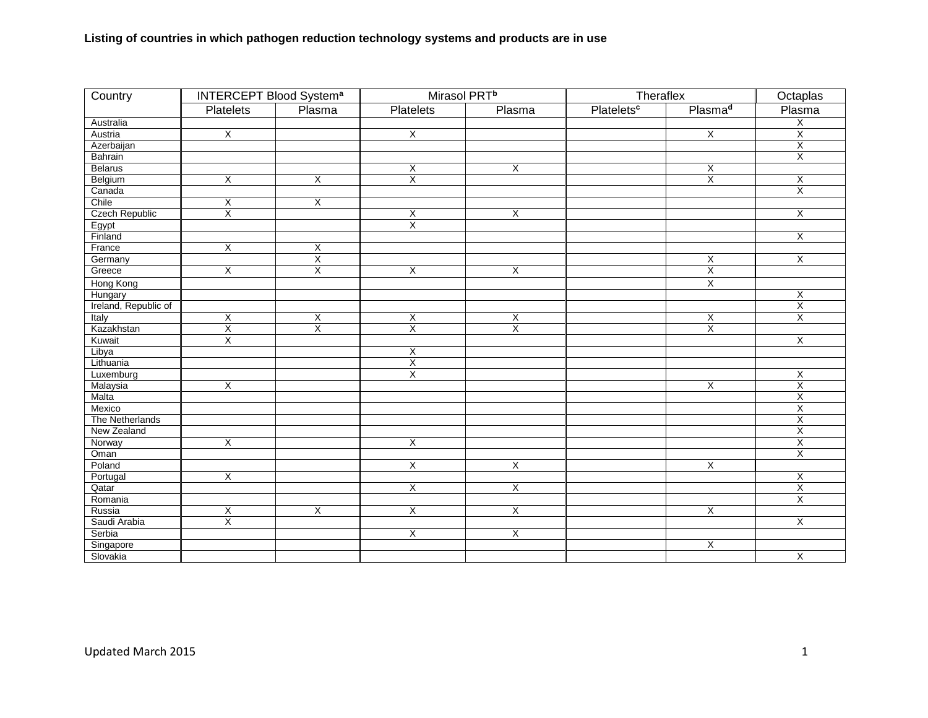| Country               | <b>INTERCEPT Blood System<sup>a</sup></b> |                         | Mirasol PRT <sup>b</sup> |                         | Theraflex                    |                         | Octaplas                |
|-----------------------|-------------------------------------------|-------------------------|--------------------------|-------------------------|------------------------------|-------------------------|-------------------------|
|                       | Platelets                                 | Plasma                  | <b>Platelets</b>         | Plasma                  | <b>Platelets<sup>c</sup></b> | Plasma <sup>d</sup>     | Plasma                  |
| Australia             |                                           |                         |                          |                         |                              |                         | $\overline{\mathsf{x}}$ |
| Austria               | $\overline{X}$                            |                         | $\overline{X}$           |                         |                              | $\overline{X}$          | $\overline{\mathsf{X}}$ |
| Azerbaijan            |                                           |                         |                          |                         |                              |                         | $\overline{\mathsf{x}}$ |
| Bahrain               |                                           |                         |                          |                         |                              |                         | $\overline{\mathsf{X}}$ |
| <b>Belarus</b>        |                                           |                         | X                        | X                       |                              | X                       |                         |
| Belgium               | $\overline{X}$                            | $\overline{X}$          | $\overline{X}$           |                         |                              | $\overline{X}$          | $\overline{X}$          |
| Canada                |                                           |                         |                          |                         |                              |                         | $\overline{\mathsf{x}}$ |
| Chile                 | $\overline{\mathsf{x}}$                   | $\overline{X}$          |                          |                         |                              |                         |                         |
| <b>Czech Republic</b> | $\overline{\mathsf{x}}$                   |                         | X                        | X                       |                              |                         | $\overline{\mathsf{x}}$ |
| Egypt                 |                                           |                         | $\overline{\mathsf{X}}$  |                         |                              |                         |                         |
| Finland               |                                           |                         |                          |                         |                              |                         | $\overline{X}$          |
| France                | $\overline{X}$                            | $\overline{X}$          |                          |                         |                              |                         |                         |
| Germany               |                                           | $\overline{X}$          |                          |                         |                              | X                       | $\overline{\mathsf{x}}$ |
| Greece                | $\overline{X}$                            | $\overline{\mathsf{x}}$ | $\overline{X}$           | X                       |                              | Χ                       |                         |
| Hong Kong             |                                           |                         |                          |                         |                              | $\overline{X}$          |                         |
| Hungary               |                                           |                         |                          |                         |                              |                         | $\overline{X}$          |
| Ireland, Republic of  |                                           |                         |                          |                         |                              |                         | $\overline{X}$          |
| Italy                 | $\overline{X}$                            | $\overline{\mathsf{x}}$ | $\overline{X}$           | $\overline{\mathsf{X}}$ |                              | X                       | $\overline{X}$          |
| Kazakhstan            | $\overline{\mathsf{X}}$                   | $\overline{\mathsf{x}}$ | χ                        | $\overline{\mathsf{X}}$ |                              | $\overline{X}$          |                         |
| Kuwait                | X                                         |                         |                          |                         |                              |                         | $\overline{X}$          |
| Libya                 |                                           |                         | X                        |                         |                              |                         |                         |
| Lithuania             |                                           |                         | X                        |                         |                              |                         |                         |
| Luxemburg             |                                           |                         | χ                        |                         |                              |                         | $\overline{X}$          |
| Malaysia              | $\overline{\mathsf{X}}$                   |                         |                          |                         |                              | $\overline{\mathsf{x}}$ | Χ                       |
| Malta                 |                                           |                         |                          |                         |                              |                         | $\overline{\mathsf{X}}$ |
| Mexico                |                                           |                         |                          |                         |                              |                         | $\overline{X}$          |
| The Netherlands       |                                           |                         |                          |                         |                              |                         | $\overline{\mathsf{x}}$ |
| New Zealand           |                                           |                         |                          |                         |                              |                         | $\overline{X}$          |
| Norway                | $\overline{X}$                            |                         | $\overline{\mathsf{x}}$  |                         |                              |                         | $\overline{X}$          |
| Oman                  |                                           |                         |                          |                         |                              |                         | $\overline{\mathsf{x}}$ |
| Poland                |                                           |                         | $\overline{X}$           | $\overline{\mathsf{X}}$ |                              | $\overline{X}$          |                         |
| Portugal              | $\overline{X}$                            |                         |                          |                         |                              |                         | $\overline{X}$          |
| Qatar                 |                                           |                         | $\overline{X}$           | $\overline{X}$          |                              |                         | $\overline{\mathsf{x}}$ |
| Romania               |                                           |                         |                          |                         |                              |                         | X                       |
| Russia                | $\overline{X}$                            | $\overline{X}$          | $\overline{X}$           | χ                       |                              | $\overline{X}$          |                         |
| Saudi Arabia          | $\overline{X}$                            |                         |                          |                         |                              |                         | X                       |
| Serbia                |                                           |                         | $\overline{X}$           | $\overline{X}$          |                              |                         |                         |
| Singapore             |                                           |                         |                          |                         |                              | X                       |                         |
| Slovakia              |                                           |                         |                          |                         |                              |                         | $\overline{\mathsf{x}}$ |